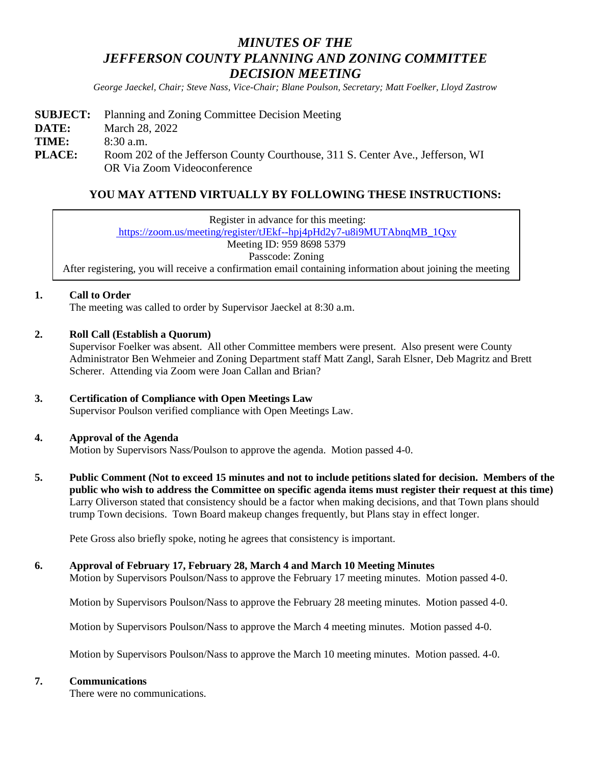# *MINUTES OF THE JEFFERSON COUNTY PLANNING AND ZONING COMMITTEE DECISION MEETING*

*George Jaeckel, Chair; Steve Nass, Vice-Chair; Blane Poulson, Secretary; Matt Foelker, Lloyd Zastrow*

|               | <b>SUBJECT:</b> Planning and Zoning Committee Decision Meeting                 |
|---------------|--------------------------------------------------------------------------------|
| DATE:         | March 28, 2022                                                                 |
| TIME:         | $8:30$ a.m.                                                                    |
| <b>PLACE:</b> | Room 202 of the Jefferson County Courthouse, 311 S. Center Ave., Jefferson, WI |
|               | OR Via Zoom Videoconference                                                    |

# **YOU MAY ATTEND VIRTUALLY BY FOLLOWING THESE INSTRUCTIONS:**

Register in advance for this meeting: [https://zoom.us/meeting/register/tJEkf--hpj4pHd2y7-u8i9MUTAbnqMB\\_1Qxy](https://zoom.us/meeting/register/tJEkf--hpj4pHd2y7-u8i9MUTAbnqMB_1Qxy) Meeting ID: 959 8698 5379 Passcode: Zoning After registering, you will receive a confirmation email containing information about joining the meeting

#### **1. Call to Order**

The meeting was called to order by Supervisor Jaeckel at 8:30 a.m.

# **2. Roll Call (Establish a Quorum)**

Supervisor Foelker was absent. All other Committee members were present. Also present were County Administrator Ben Wehmeier and Zoning Department staff Matt Zangl, Sarah Elsner, Deb Magritz and Brett Scherer. Attending via Zoom were Joan Callan and Brian?

# **3. Certification of Compliance with Open Meetings Law**

Supervisor Poulson verified compliance with Open Meetings Law.

#### **4. Approval of the Agenda**

Motion by Supervisors Nass/Poulson to approve the agenda. Motion passed 4-0.

**5. Public Comment (Not to exceed 15 minutes and not to include petitions slated for decision. Members of the public who wish to address the Committee on specific agenda items must register their request at this time)** Larry Oliverson stated that consistency should be a factor when making decisions, and that Town plans should trump Town decisions. Town Board makeup changes frequently, but Plans stay in effect longer.

Pete Gross also briefly spoke, noting he agrees that consistency is important.

#### **6. Approval of February 17, February 28, March 4 and March 10 Meeting Minutes**

Motion by Supervisors Poulson/Nass to approve the February 17 meeting minutes. Motion passed 4-0.

Motion by Supervisors Poulson/Nass to approve the February 28 meeting minutes. Motion passed 4-0.

Motion by Supervisors Poulson/Nass to approve the March 4 meeting minutes. Motion passed 4-0.

Motion by Supervisors Poulson/Nass to approve the March 10 meeting minutes. Motion passed. 4-0.

#### **7. Communications**

There were no communications.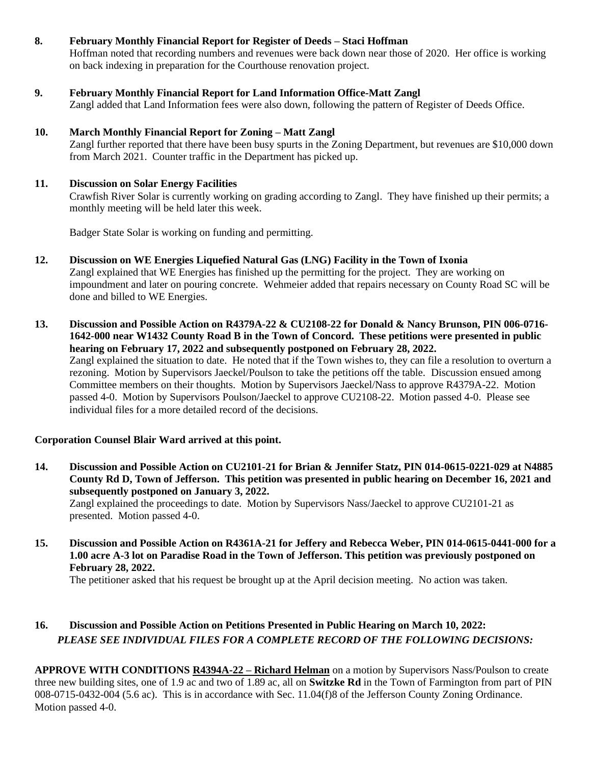# **8. February Monthly Financial Report for Register of Deeds – Staci Hoffman**

Hoffman noted that recording numbers and revenues were back down near those of 2020. Her office is working on back indexing in preparation for the Courthouse renovation project.

# **9. February Monthly Financial Report for Land Information Office-Matt Zangl**

Zangl added that Land Information fees were also down, following the pattern of Register of Deeds Office.

## **10. March Monthly Financial Report for Zoning – Matt Zangl**

Zangl further reported that there have been busy spurts in the Zoning Department, but revenues are \$10,000 down from March 2021. Counter traffic in the Department has picked up.

#### **11. Discussion on Solar Energy Facilities**

Crawfish River Solar is currently working on grading according to Zangl. They have finished up their permits; a monthly meeting will be held later this week.

Badger State Solar is working on funding and permitting.

- **12. Discussion on WE Energies Liquefied Natural Gas (LNG) Facility in the Town of Ixonia** Zangl explained that WE Energies has finished up the permitting for the project. They are working on impoundment and later on pouring concrete. Wehmeier added that repairs necessary on County Road SC will be done and billed to WE Energies.
- **13. Discussion and Possible Action on R4379A-22 & CU2108-22 for Donald & Nancy Brunson, PIN 006-0716- 1642-000 near W1432 County Road B in the Town of Concord. These petitions were presented in public hearing on February 17, 2022 and subsequently postponed on February 28, 2022.** Zangl explained the situation to date. He noted that if the Town wishes to, they can file a resolution to overturn a rezoning. Motion by Supervisors Jaeckel/Poulson to take the petitions off the table. Discussion ensued among Committee members on their thoughts. Motion by Supervisors Jaeckel/Nass to approve R4379A-22. Motion passed 4-0. Motion by Supervisors Poulson/Jaeckel to approve CU2108-22. Motion passed 4-0. Please see individual files for a more detailed record of the decisions.

## **Corporation Counsel Blair Ward arrived at this point.**

- **14. Discussion and Possible Action on CU2101-21 for Brian & Jennifer Statz, PIN 014-0615-0221-029 at N4885 County Rd D, Town of Jefferson. This petition was presented in public hearing on December 16, 2021 and subsequently postponed on January 3, 2022.** Zangl explained the proceedings to date. Motion by Supervisors Nass/Jaeckel to approve CU2101-21 as presented. Motion passed 4-0.
- **15. Discussion and Possible Action on R4361A-21 for Jeffery and Rebecca Weber, PIN 014-0615-0441-000 for a 1.00 acre A-3 lot on Paradise Road in the Town of Jefferson. This petition was previously postponed on February 28, 2022.**

The petitioner asked that his request be brought up at the April decision meeting. No action was taken.

# **16. Discussion and Possible Action on Petitions Presented in Public Hearing on March 10, 2022:** *PLEASE SEE INDIVIDUAL FILES FOR A COMPLETE RECORD OF THE FOLLOWING DECISIONS:*

**APPROVE WITH CONDITIONS R4394A-22 – Richard Helman** on a motion by Supervisors Nass/Poulson to create three new building sites, one of 1.9 ac and two of 1.89 ac, all on **Switzke Rd** in the Town of Farmington from part of PIN 008-0715-0432-004 (5.6 ac). This is in accordance with Sec. 11.04(f)8 of the Jefferson County Zoning Ordinance. Motion passed 4-0.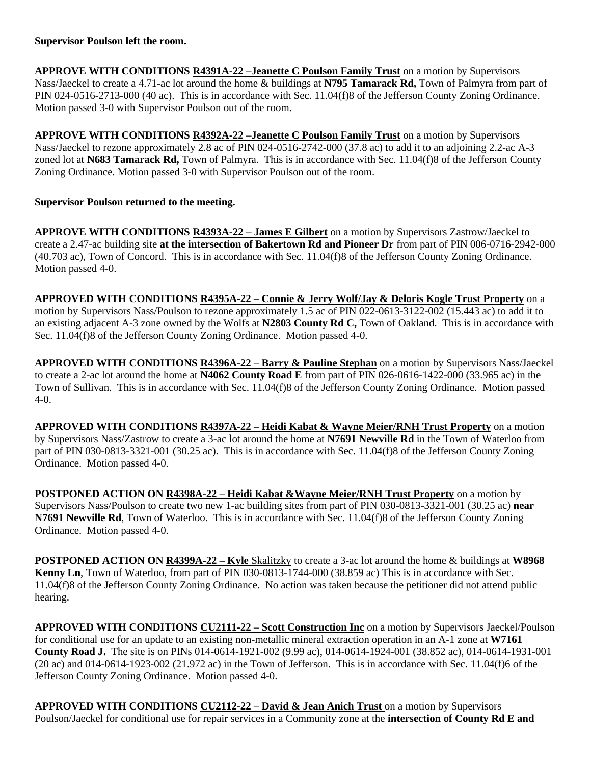## **Supervisor Poulson left the room.**

**APPROVE WITH CONDITIONS R4391A-22 –Jeanette C Poulson Family Trust** on a motion by Supervisors Nass/Jaeckel to create a 4.71-ac lot around the home & buildings at **N795 Tamarack Rd,** Town of Palmyra from part of PIN 024-0516-2713-000 (40 ac). This is in accordance with Sec. 11.04(f)8 of the Jefferson County Zoning Ordinance. Motion passed 3-0 with Supervisor Poulson out of the room.

**APPROVE WITH CONDITIONS R4392A-22 –Jeanette C Poulson Family Trust** on a motion by Supervisors Nass/Jaeckel to rezone approximately 2.8 ac of PIN 024-0516-2742-000 (37.8 ac) to add it to an adjoining 2.2-ac A-3 zoned lot at **N683 Tamarack Rd,** Town of Palmyra. This is in accordance with Sec. 11.04(f)8 of the Jefferson County Zoning Ordinance. Motion passed 3-0 with Supervisor Poulson out of the room.

# **Supervisor Poulson returned to the meeting.**

**APPROVE WITH CONDITIONS R4393A-22 – James E Gilbert** on a motion by Supervisors Zastrow/Jaeckel to create a 2.47-ac building site **at the intersection of Bakertown Rd and Pioneer Dr** from part of PIN 006-0716-2942-000 (40.703 ac), Town of Concord. This is in accordance with Sec. 11.04(f)8 of the Jefferson County Zoning Ordinance. Motion passed 4-0.

**APPROVED WITH CONDITIONS R4395A-22 – Connie & Jerry Wolf/Jay & Deloris Kogle Trust Property** on a motion by Supervisors Nass/Poulson to rezone approximately 1.5 ac of PIN 022-0613-3122-002 (15.443 ac) to add it to an existing adjacent A-3 zone owned by the Wolfs at **N2803 County Rd C,** Town of Oakland. This is in accordance with Sec. 11.04(f)8 of the Jefferson County Zoning Ordinance. Motion passed 4-0.

**APPROVED WITH CONDITIONS R4396A-22 – Barry & Pauline Stephan** on a motion by Supervisors Nass/Jaeckel to create a 2-ac lot around the home at **N4062 County Road E** from part of PIN 026-0616-1422-000 (33.965 ac) in the Town of Sullivan. This is in accordance with Sec. 11.04(f)8 of the Jefferson County Zoning Ordinance. Motion passed 4-0.

**APPROVED WITH CONDITIONS R4397A-22 – Heidi Kabat & Wayne Meier/RNH Trust Property** on a motion by Supervisors Nass/Zastrow to create a 3-ac lot around the home at **N7691 Newville Rd** in the Town of Waterloo from part of PIN 030-0813-3321-001 (30.25 ac). This is in accordance with Sec. 11.04(f)8 of the Jefferson County Zoning Ordinance. Motion passed 4-0.

**POSTPONED ACTION ON R4398A-22 – Heidi Kabat &Wayne Meier/RNH Trust Property** on a motion by Supervisors Nass/Poulson to create two new 1-ac building sites from part of PIN 030-0813-3321-001 (30.25 ac) **near N7691 Newville Rd**, Town of Waterloo. This is in accordance with Sec. 11.04(f)8 of the Jefferson County Zoning Ordinance. Motion passed 4-0.

**POSTPONED ACTION ON R4399A-22 – Kyle** Skalitzky to create a 3-ac lot around the home & buildings at **W8968 Kenny Ln**, Town of Waterloo, from part of PIN 030-0813-1744-000 (38.859 ac) This is in accordance with Sec. 11.04(f)8 of the Jefferson County Zoning Ordinance. No action was taken because the petitioner did not attend public hearing.

**APPROVED WITH CONDITIONS CU2111-22 – Scott Construction Inc** on a motion by Supervisors Jaeckel/Poulson for conditional use for an update to an existing non-metallic mineral extraction operation in an A-1 zone at **W7161 County Road J.** The site is on PINs 014-0614-1921-002 (9.99 ac), 014-0614-1924-001 (38.852 ac), 014-0614-1931-001  $(20 \text{ ac})$  and  $014$ -0614-1923-002  $(21.972 \text{ ac})$  in the Town of Jefferson. This is in accordance with Sec. 11.04(f)6 of the Jefferson County Zoning Ordinance. Motion passed 4-0.

**APPROVED WITH CONDITIONS CU2112-22 – David & Jean Anich Trust** on a motion by Supervisors Poulson/Jaeckel for conditional use for repair services in a Community zone at the **intersection of County Rd E and**